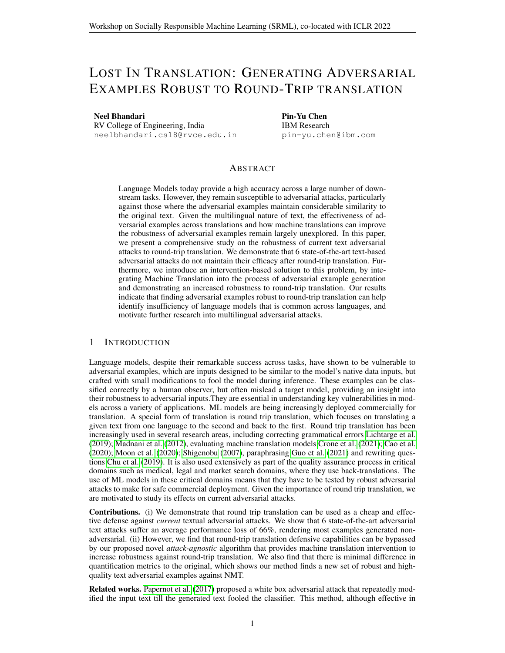# LOST IN TRANSLATION: GENERATING ADVERSARIAL EXAMPLES ROBUST TO ROUND-TRIP TRANSLATION

Neel Bhandari

RV College of Engineering, India neelbhandari.cs18@rvce.edu.in Pin-Yu Chen IBM Research pin-yu.chen@ibm.com

# ABSTRACT

Language Models today provide a high accuracy across a large number of downstream tasks. However, they remain susceptible to adversarial attacks, particularly against those where the adversarial examples maintain considerable similarity to the original text. Given the multilingual nature of text, the effectiveness of adversarial examples across translations and how machine translations can improve the robustness of adversarial examples remain largely unexplored. In this paper, we present a comprehensive study on the robustness of current text adversarial attacks to round-trip translation. We demonstrate that 6 state-of-the-art text-based adversarial attacks do not maintain their efficacy after round-trip translation. Furthermore, we introduce an intervention-based solution to this problem, by integrating Machine Translation into the process of adversarial example generation and demonstrating an increased robustness to round-trip translation. Our results indicate that finding adversarial examples robust to round-trip translation can help identify insufficiency of language models that is common across languages, and motivate further research into multilingual adversarial attacks.

# 1 INTRODUCTION

Language models, despite their remarkable success across tasks, have shown to be vulnerable to adversarial examples, which are inputs designed to be similar to the model's native data inputs, but crafted with small modifications to fool the model during inference. These examples can be classified correctly by a human observer, but often mislead a target model, providing an insight into their robustness to adversarial inputs.They are essential in understanding key vulnerabilities in models across a variety of applications. ML models are being increasingly deployed commercially for translation. A special form of translation is round trip translation, which focuses on translating a given text from one language to the second and back to the first. Round trip translation has been increasingly used in several research areas, including correcting grammatical errors [Lichtarge et al.](#page-5-0) [\(2019\)](#page-5-0); [Madnani et al.](#page-5-1) [\(2012\)](#page-5-1), evaluating machine translation models [Crone et al.](#page-4-0) [\(2021\)](#page-4-0); [Cao et al.](#page-4-1) [\(2020\)](#page-4-1); [Moon et al.](#page-5-2) [\(2020\)](#page-5-2); [Shigenobu](#page-6-0) [\(2007\)](#page-6-0), paraphrasing [Guo et al.](#page-5-3) [\(2021\)](#page-5-3) and rewriting questions [Chu et al.](#page-4-2) [\(2019\)](#page-4-2). It is also used extensively as part of the quality assurance process in critical domains such as medical, legal and market search domains, where they use back-translations. The use of ML models in these critical domains means that they have to be tested by robust adversarial attacks to make for safe commercial deployment. Given the importance of round trip translation, we are motivated to study its effects on current adversarial attacks.

Contributions. (i) We demonstrate that round trip translation can be used as a cheap and effective defense against *current* textual adversarial attacks. We show that 6 state-of-the-art adversarial text attacks suffer an average performance loss of 66%, rendering most examples generated nonadversarial. (ii) However, we find that round-trip translation defensive capabilities can be bypassed by our proposed novel *attack-agnostic* algorithm that provides machine translation intervention to increase robustness against round-trip translation. We also find that there is minimal difference in quantification metrics to the original, which shows our method finds a new set of robust and highquality text adversarial examples against NMT.

Related works. [Papernot et al.](#page-6-1) [\(2017\)](#page-6-1) proposed a white box adversarial attack that repeatedly modified the input text till the generated text fooled the classifier. This method, although effective in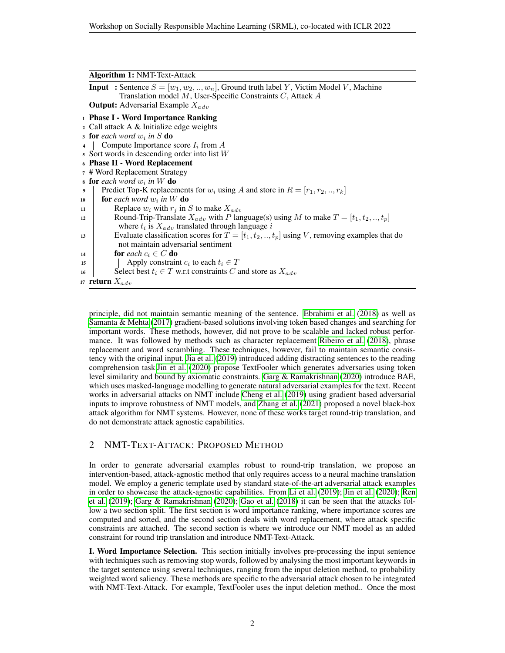#### Algorithm 1: NMT-Text-Attack

| <b>Input</b> : Sentence $S = [w_1, w_2, , w_n]$ , Ground truth label Y, Victim Model V, Machine<br>Translation model $M$ , User-Specific Constraints $C$ , Attack $A$ |  |  |  |  |
|-----------------------------------------------------------------------------------------------------------------------------------------------------------------------|--|--|--|--|
| <b>Output:</b> Adversarial Example $X_{adv}$                                                                                                                          |  |  |  |  |
| <sup>1</sup> Phase I - Word Importance Ranking                                                                                                                        |  |  |  |  |
| 2 Call attack A & Initialize edge weights                                                                                                                             |  |  |  |  |
| <b>s</b> for each word $w_i$ in S do                                                                                                                                  |  |  |  |  |
| Compute Importance score $I_i$ from A<br>$\overline{4}$                                                                                                               |  |  |  |  |
| $\overline{s}$ Sort words in descending order into list W                                                                                                             |  |  |  |  |
| 6 Phase II - Word Replacement                                                                                                                                         |  |  |  |  |
| 7 # Word Replacement Strategy                                                                                                                                         |  |  |  |  |
| <b>s</b> for each word $w_i$ in W do                                                                                                                                  |  |  |  |  |
| Predict Top-K replacements for $w_i$ using A and store in $R = [r_1, r_2, , r_k]$<br>9                                                                                |  |  |  |  |
| <b>for</b> each word $w_i$ in W <b>do</b><br>10                                                                                                                       |  |  |  |  |
| Replace $w_i$ with $r_i$ in S to make $X_{adv}$<br>11                                                                                                                 |  |  |  |  |
| Round-Trip-Translate $X_{adv}$ with P language(s) using M to make $T = [t_1, t_2, , t_p]$<br>12                                                                       |  |  |  |  |
| where $t_i$ is $X_{adv}$ translated through language i                                                                                                                |  |  |  |  |
| Evaluate classification scores for $T = [t_1, t_2, , t_p]$ using V, removing examples that do<br>13                                                                   |  |  |  |  |
| not maintain adversarial sentiment                                                                                                                                    |  |  |  |  |
| for each $c_i \in C$ do<br>14                                                                                                                                         |  |  |  |  |
| Apply constraint $c_i$ to each $t_i \in T$<br>15                                                                                                                      |  |  |  |  |
| Select best $t_i \in T$ w.r.t constraints C and store as $X_{adv}$<br>16                                                                                              |  |  |  |  |
| 17 <b>return</b> $X_{adv}$                                                                                                                                            |  |  |  |  |

principle, did not maintain semantic meaning of the sentence. [Ebrahimi et al.](#page-4-3) [\(2018\)](#page-4-3) as well as [Samanta & Mehta](#page-6-2) [\(2017\)](#page-6-2) gradient-based solutions involving token based changes and searching for important words. These methods, however, did not prove to be scalable and lacked robust performance. It was followed by methods such as character replacement [Ribeiro et al.](#page-6-3) [\(2018\)](#page-6-3), phrase replacement and word scrambling. These techniques, however, fail to maintain semantic consistency with the original input. [Jia et al.](#page-5-4) [\(2019\)](#page-5-4) introduced adding distracting sentences to the reading comprehension task[.Jin et al.](#page-5-5) [\(2020\)](#page-5-5) propose TextFooler which generates adversaries using token level similarity and bound by axiomatic constraints. [Garg & Ramakrishnan](#page-4-4) [\(2020\)](#page-4-4) introduce BAE, which uses masked-language modelling to generate natural adversarial examples for the text. Recent works in adversarial attacks on NMT include [Cheng et al.](#page-4-5) [\(2019\)](#page-4-5) using gradient based adversarial inputs to improve robustness of NMT models, and [Zhang et al.](#page-7-0) [\(2021\)](#page-7-0) proposed a novel black-box attack algorithm for NMT systems. However, none of these works target round-trip translation, and do not demonstrate attack agnostic capabilities.

# 2 NMT-TEXT-ATTACK: PROPOSED METHOD

In order to generate adversarial examples robust to round-trip translation, we propose an intervention-based, attack-agnostic method that only requires access to a neural machine translation model. We employ a generic template used by standard state-of-the-art adversarial attack examples in order to showcase the attack-agnostic capabilities. From [Li et al.](#page-5-6) [\(2019\)](#page-5-6); [Jin et al.](#page-5-5) [\(2020\)](#page-5-5); [Ren](#page-6-4) [et al.](#page-6-4) [\(2019\)](#page-6-4); [Garg & Ramakrishnan](#page-4-4) [\(2020\)](#page-4-4); [Gao et al.](#page-4-6) [\(2018\)](#page-4-6) it can be seen that the attacks follow a two section split. The first section is word importance ranking, where importance scores are computed and sorted, and the second section deals with word replacement, where attack specific constraints are attached. The second section is where we introduce our NMT model as an added constraint for round trip translation and introduce NMT-Text-Attack.

I. Word Importance Selection. This section initially involves pre-processing the input sentence with techniques such as removing stop words, followed by analysing the most important keywords in the target sentence using several techniques, ranging from the input deletion method, to probability weighted word saliency. These methods are specific to the adversarial attack chosen to be integrated with NMT-Text-Attack. For example, TextFooler uses the input deletion method.. Once the most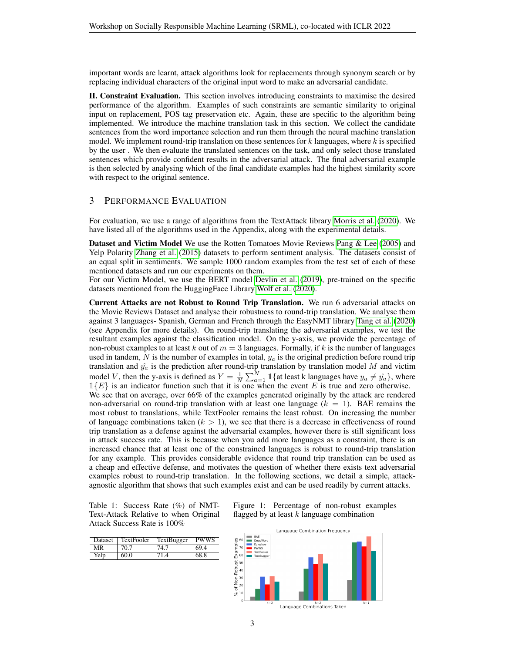important words are learnt, attack algorithms look for replacements through synonym search or by replacing individual characters of the original input word to make an adversarial candidate.

II. Constraint Evaluation. This section involves introducing constraints to maximise the desired performance of the algorithm. Examples of such constraints are semantic similarity to original input on replacement, POS tag preservation etc. Again, these are specific to the algorithm being implemented. We introduce the machine translation task in this section. We collect the candidate sentences from the word importance selection and run them through the neural machine translation model. We implement round-trip translation on these sentences for  $k$  languages, where  $k$  is specified by the user . We then evaluate the translated sentences on the task, and only select those translated sentences which provide confident results in the adversarial attack. The final adversarial example is then selected by analysing which of the final candidate examples had the highest similarity score with respect to the original sentence.

# 3 PERFORMANCE EVALUATION

For evaluation, we use a range of algorithms from the TextAttack library [Morris et al.](#page-6-5) [\(2020\)](#page-6-5). We have listed all of the algorithms used in the Appendix, along with the experimental details.

Dataset and Victim Model We use the Rotten Tomatoes Movie Reviews [Pang & Lee](#page-6-6) [\(2005\)](#page-6-6) and Yelp Polarity [Zhang et al.](#page-7-1) [\(2015\)](#page-7-1) datasets to perform sentiment analysis. The datasets consist of an equal split in sentiments. We sample 1000 random examples from the test set of each of these mentioned datasets and run our experiments on them.

For our Victim Model, we use the BERT model [Devlin et al.](#page-4-7) [\(2019\)](#page-4-7), pre-trained on the specific datasets mentioned from the HuggingFace Library [Wolf et al.](#page-7-2) [\(2020\)](#page-7-2).

Current Attacks are not Robust to Round Trip Translation. We run 6 adversarial attacks on the Movie Reviews Dataset and analyse their robustness to round-trip translation. We analyse them against 3 languages- Spanish, German and French through the EasyNMT library [Tang et al.](#page-6-7) [\(2020\)](#page-6-7) (see Appendix for more details). On round-trip translating the adversarial examples, we test the resultant examples against the classification model. On the y-axis, we provide the percentage of non-robust examples to at least k out of  $m = 3$  languages. Formally, if k is the number of languages used in tandem, N is the number of examples in total,  $y_a$  is the original prediction before round trip translation and  $\hat{y}_a$  is the prediction after round-trip translation by translation model M and victim model V, then the y-axis is defined as  $Y = \frac{1}{N} \sum_{a=1}^{N} \mathbb{1} \{$  at least k languages have  $y_a \neq \hat{y}_a$ , where  $1{E}$  is an indicator function such that it is one when the event E is true and zero otherwise. We see that on average, over 66% of the examples generated originally by the attack are rendered non-adversarial on round-trip translation with at least one language  $(k = 1)$ . BAE remains the most robust to translations, while TextFooler remains the least robust. On increasing the number of language combinations taken  $(k > 1)$ , we see that there is a decrease in effectiveness of round trip translation as a defense against the adversarial examples, however there is still significant loss in attack success rate. This is because when you add more languages as a constraint, there is an increased chance that at least one of the constrained languages is robust to round-trip translation for any example. This provides considerable evidence that round trip translation can be used as a cheap and effective defense, and motivates the question of whether there exists text adversarial examples robust to round-trip translation. In the following sections, we detail a simple, attackagnostic algorithm that shows that such examples exist and can be used readily by current attacks.

<span id="page-2-0"></span>Table 1: Success Rate (%) of NMT-Text-Attack Relative to when Original Attack Success Rate is 100%

| <b>Dataset</b> | TextFooler | TextBugger | <b>PWWS</b> |
|----------------|------------|------------|-------------|
| MR             | 70.7       | 74.7       | 69 4        |
| Yelp           | 60.0       | 714        | 68.8        |



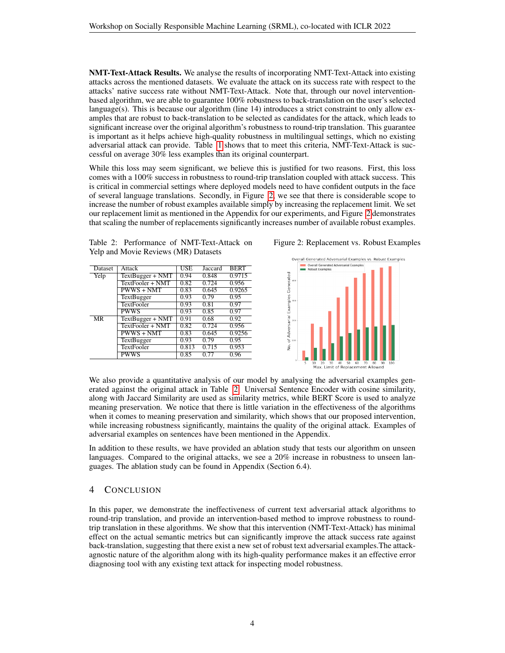NMT-Text-Attack Results. We analyse the results of incorporating NMT-Text-Attack into existing attacks across the mentioned datasets. We evaluate the attack on its success rate with respect to the attacks' native success rate without NMT-Text-Attack. Note that, through our novel interventionbased algorithm, we are able to guarantee 100% robustness to back-translation on the user's selected language(s). This is because our algorithm (line 14) introduces a strict constraint to only allow examples that are robust to back-translation to be selected as candidates for the attack, which leads to significant increase over the original algorithm's robustness to round-trip translation. This guarantee is important as it helps achieve high-quality robustness in multilingual settings, which no existing adversarial attack can provide. Table [1](#page-2-0) shows that to meet this criteria, NMT-Text-Attack is successful on average 30% less examples than its original counterpart.

While this loss may seem significant, we believe this is justified for two reasons. First, this loss comes with a 100% success in robustness to round-trip translation coupled with attack success. This is critical in commercial settings where deployed models need to have confident outputs in the face of several language translations. Secondly, in Figure [2,](#page-3-0) we see that there is considerable scope to increase the number of robust examples available simply by increasing the replacement limit. We set our replacement limit as mentioned in the Appendix for our experiments, and Figure [2](#page-3-0) demonstrates that scaling the number of replacements significantly increases number of available robust examples.

<span id="page-3-1"></span>Table 2: Performance of NMT-Text-Attack on Yelp and Movie Reviews (MR) Datasets

| Dataset                | Attack            | USE   | Jaccard | <b>BERT</b> |
|------------------------|-------------------|-------|---------|-------------|
| Yelp                   | TextBugger + NMT  | 0.94  | 0.848   | 0.9715      |
|                        | TextFooler + NMT  | 0.82  | 0.724   | 0.956       |
|                        | $PWWS + NMT$      | 0.83  | 0.645   | 0.9265      |
|                        | <b>TextBugger</b> | 0.93  | 0.79    | 0.95        |
|                        | <b>TextFooler</b> | 0.93  | 0.81    | 0.97        |
|                        | <b>PWWS</b>       | 0.93  | 0.85    | 0.97        |
| $\overline{\text{MR}}$ | TextBugger + NMT  | 0.91  | 0.68    | 0.92        |
|                        | TextFooler + NMT  | 0.82  | 0.724   | 0.956       |
|                        | $PWWS + NMT$      | 0.83  | 0.645   | 0.9256      |
|                        | <b>TextBugger</b> | 0.93  | 0.79    | 0.95        |
|                        | <b>TextFooler</b> | 0.813 | 0.715   | 0.953       |
|                        | <b>PWWS</b>       | 0.85  | 0.77    | 0.96        |

Figure 2: Replacement vs. Robust Examples

<span id="page-3-0"></span>

We also provide a quantitative analysis of our model by analysing the adversarial examples generated against the original attack in Table [2.](#page-3-1) Universal Sentence Encoder with cosine similarity, along with Jaccard Similarity are used as similarity metrics, while BERT Score is used to analyze meaning preservation. We notice that there is little variation in the effectiveness of the algorithms when it comes to meaning preservation and similarity, which shows that our proposed intervention, while increasing robustness significantly, maintains the quality of the original attack. Examples of adversarial examples on sentences have been mentioned in the Appendix.

In addition to these results, we have provided an ablation study that tests our algorithm on unseen languages. Compared to the original attacks, we see a 20% increase in robustness to unseen languages. The ablation study can be found in Appendix (Section 6.4).

# 4 CONCLUSION

In this paper, we demonstrate the ineffectiveness of current text adversarial attack algorithms to round-trip translation, and provide an intervention-based method to improve robustness to roundtrip translation in these algorithms. We show that this intervention (NMT-Text-Attack) has minimal effect on the actual semantic metrics but can significantly improve the attack success rate against back-translation, suggesting that there exist a new set of robust text adversarial examples.The attackagnostic nature of the algorithm along with its high-quality performance makes it an effective error diagnosing tool with any existing text attack for inspecting model robustness.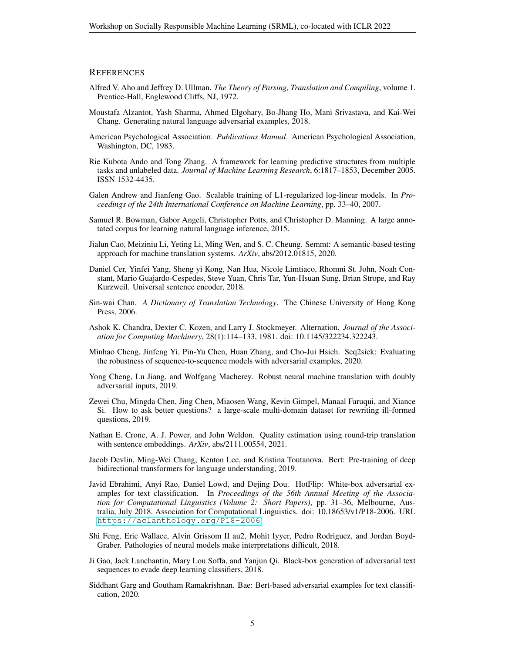#### **REFERENCES**

- Alfred V. Aho and Jeffrey D. Ullman. *The Theory of Parsing, Translation and Compiling*, volume 1. Prentice-Hall, Englewood Cliffs, NJ, 1972.
- Moustafa Alzantot, Yash Sharma, Ahmed Elgohary, Bo-Jhang Ho, Mani Srivastava, and Kai-Wei Chang. Generating natural language adversarial examples, 2018.
- American Psychological Association. *Publications Manual*. American Psychological Association, Washington, DC, 1983.
- Rie Kubota Ando and Tong Zhang. A framework for learning predictive structures from multiple tasks and unlabeled data. *Journal of Machine Learning Research*, 6:1817–1853, December 2005. ISSN 1532-4435.
- Galen Andrew and Jianfeng Gao. Scalable training of L1-regularized log-linear models. In *Proceedings of the 24th International Conference on Machine Learning*, pp. 33–40, 2007.
- Samuel R. Bowman, Gabor Angeli, Christopher Potts, and Christopher D. Manning. A large annotated corpus for learning natural language inference, 2015.
- <span id="page-4-1"></span>Jialun Cao, Meiziniu Li, Yeting Li, Ming Wen, and S. C. Cheung. Semmt: A semantic-based testing approach for machine translation systems. *ArXiv*, abs/2012.01815, 2020.
- Daniel Cer, Yinfei Yang, Sheng yi Kong, Nan Hua, Nicole Limtiaco, Rhomni St. John, Noah Constant, Mario Guajardo-Cespedes, Steve Yuan, Chris Tar, Yun-Hsuan Sung, Brian Strope, and Ray Kurzweil. Universal sentence encoder, 2018.
- Sin-wai Chan. *A Dictionary of Translation Technology*. The Chinese University of Hong Kong Press, 2006.
- Ashok K. Chandra, Dexter C. Kozen, and Larry J. Stockmeyer. Alternation. *Journal of the Association for Computing Machinery*, 28(1):114–133, 1981. doi: 10.1145/322234.322243.
- Minhao Cheng, Jinfeng Yi, Pin-Yu Chen, Huan Zhang, and Cho-Jui Hsieh. Seq2sick: Evaluating the robustness of sequence-to-sequence models with adversarial examples, 2020.
- <span id="page-4-5"></span>Yong Cheng, Lu Jiang, and Wolfgang Macherey. Robust neural machine translation with doubly adversarial inputs, 2019.
- <span id="page-4-2"></span>Zewei Chu, Mingda Chen, Jing Chen, Miaosen Wang, Kevin Gimpel, Manaal Faruqui, and Xiance Si. How to ask better questions? a large-scale multi-domain dataset for rewriting ill-formed questions, 2019.
- <span id="page-4-0"></span>Nathan E. Crone, A. J. Power, and John Weldon. Quality estimation using round-trip translation with sentence embeddings. *ArXiv*, abs/2111.00554, 2021.
- <span id="page-4-7"></span>Jacob Devlin, Ming-Wei Chang, Kenton Lee, and Kristina Toutanova. Bert: Pre-training of deep bidirectional transformers for language understanding, 2019.
- <span id="page-4-3"></span>Javid Ebrahimi, Anyi Rao, Daniel Lowd, and Dejing Dou. HotFlip: White-box adversarial examples for text classification. In *Proceedings of the 56th Annual Meeting of the Association for Computational Linguistics (Volume 2: Short Papers)*, pp. 31–36, Melbourne, Australia, July 2018. Association for Computational Linguistics. doi: 10.18653/v1/P18-2006. URL <https://aclanthology.org/P18-2006>.
- Shi Feng, Eric Wallace, Alvin Grissom II au2, Mohit Iyyer, Pedro Rodriguez, and Jordan Boyd-Graber. Pathologies of neural models make interpretations difficult, 2018.
- <span id="page-4-6"></span>Ji Gao, Jack Lanchantin, Mary Lou Soffa, and Yanjun Qi. Black-box generation of adversarial text sequences to evade deep learning classifiers, 2018.
- <span id="page-4-4"></span>Siddhant Garg and Goutham Ramakrishnan. Bae: Bert-based adversarial examples for text classification, 2020.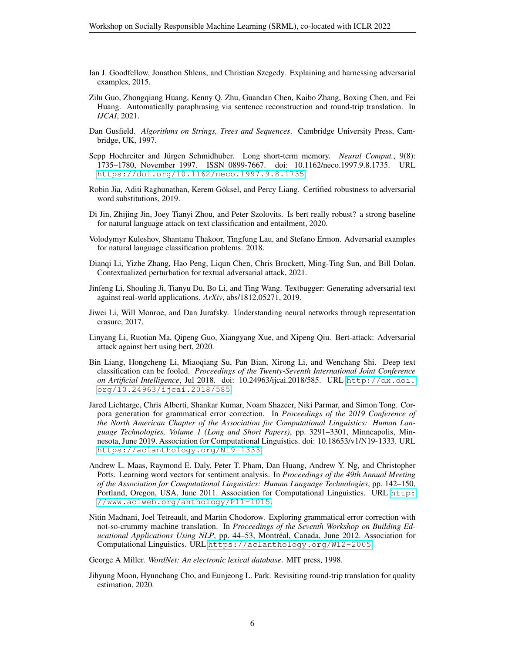- Ian J. Goodfellow, Jonathon Shlens, and Christian Szegedy. Explaining and harnessing adversarial examples, 2015.
- <span id="page-5-3"></span>Zilu Guo, Zhongqiang Huang, Kenny Q. Zhu, Guandan Chen, Kaibo Zhang, Boxing Chen, and Fei Huang. Automatically paraphrasing via sentence reconstruction and round-trip translation. In *IJCAI*, 2021.
- Dan Gusfield. *Algorithms on Strings, Trees and Sequences*. Cambridge University Press, Cambridge, UK, 1997.
- Sepp Hochreiter and Jürgen Schmidhuber. Long short-term memory. *Neural Comput.*, 9(8): 1735–1780, November 1997. ISSN 0899-7667. doi: 10.1162/neco.1997.9.8.1735. URL <https://doi.org/10.1162/neco.1997.9.8.1735>.
- <span id="page-5-4"></span>Robin Jia, Aditi Raghunathan, Kerem Göksel, and Percy Liang. Certified robustness to adversarial word substitutions, 2019.
- <span id="page-5-5"></span>Di Jin, Zhijing Jin, Joey Tianyi Zhou, and Peter Szolovits. Is bert really robust? a strong baseline for natural language attack on text classification and entailment, 2020.
- Volodymyr Kuleshov, Shantanu Thakoor, Tingfung Lau, and Stefano Ermon. Adversarial examples for natural language classification problems. 2018.
- Dianqi Li, Yizhe Zhang, Hao Peng, Liqun Chen, Chris Brockett, Ming-Ting Sun, and Bill Dolan. Contextualized perturbation for textual adversarial attack, 2021.
- <span id="page-5-6"></span>Jinfeng Li, Shouling Ji, Tianyu Du, Bo Li, and Ting Wang. Textbugger: Generating adversarial text against real-world applications. *ArXiv*, abs/1812.05271, 2019.
- Jiwei Li, Will Monroe, and Dan Jurafsky. Understanding neural networks through representation erasure, 2017.
- Linyang Li, Ruotian Ma, Qipeng Guo, Xiangyang Xue, and Xipeng Qiu. Bert-attack: Adversarial attack against bert using bert, 2020.
- Bin Liang, Hongcheng Li, Miaoqiang Su, Pan Bian, Xirong Li, and Wenchang Shi. Deep text classification can be fooled. *Proceedings of the Twenty-Seventh International Joint Conference on Artificial Intelligence*, Jul 2018. doi: 10.24963/ijcai.2018/585. URL [http://dx.doi.](http://dx.doi.org/10.24963/ijcai.2018/585) [org/10.24963/ijcai.2018/585](http://dx.doi.org/10.24963/ijcai.2018/585).
- <span id="page-5-0"></span>Jared Lichtarge, Chris Alberti, Shankar Kumar, Noam Shazeer, Niki Parmar, and Simon Tong. Corpora generation for grammatical error correction. In *Proceedings of the 2019 Conference of the North American Chapter of the Association for Computational Linguistics: Human Language Technologies, Volume 1 (Long and Short Papers)*, pp. 3291–3301, Minneapolis, Minnesota, June 2019. Association for Computational Linguistics. doi: 10.18653/v1/N19-1333. URL <https://aclanthology.org/N19-1333>.
- Andrew L. Maas, Raymond E. Daly, Peter T. Pham, Dan Huang, Andrew Y. Ng, and Christopher Potts. Learning word vectors for sentiment analysis. In *Proceedings of the 49th Annual Meeting of the Association for Computational Linguistics: Human Language Technologies*, pp. 142–150, Portland, Oregon, USA, June 2011. Association for Computational Linguistics. URL [http:](http://www.aclweb.org/anthology/P11-1015) [//www.aclweb.org/anthology/P11-1015](http://www.aclweb.org/anthology/P11-1015).
- <span id="page-5-1"></span>Nitin Madnani, Joel Tetreault, and Martin Chodorow. Exploring grammatical error correction with not-so-crummy machine translation. In *Proceedings of the Seventh Workshop on Building Educational Applications Using NLP*, pp. 44–53, Montreal, Canada, June 2012. Association for ´ Computational Linguistics. URL <https://aclanthology.org/W12-2005>.

<span id="page-5-7"></span>George A Miller. *WordNet: An electronic lexical database*. MIT press, 1998.

<span id="page-5-2"></span>Jihyung Moon, Hyunchang Cho, and Eunjeong L. Park. Revisiting round-trip translation for quality estimation, 2020.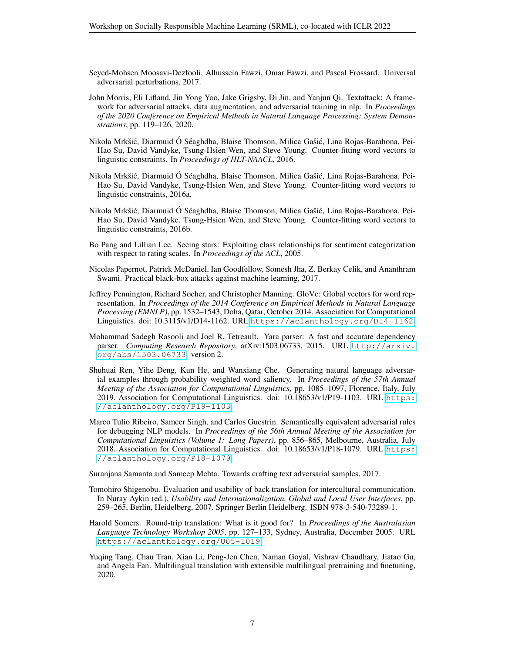- Seyed-Mohsen Moosavi-Dezfooli, Alhussein Fawzi, Omar Fawzi, and Pascal Frossard. Universal adversarial perturbations, 2017.
- <span id="page-6-5"></span>John Morris, Eli Lifland, Jin Yong Yoo, Jake Grigsby, Di Jin, and Yanjun Qi. Textattack: A framework for adversarial attacks, data augmentation, and adversarial training in nlp. In *Proceedings of the 2020 Conference on Empirical Methods in Natural Language Processing: System Demonstrations*, pp. 119–126, 2020.
- Nikola Mrkšić, Diarmuid Ó Séaghdha, Blaise Thomson, Milica Gašić, Lina Rojas-Barahona, Pei-Hao Su, David Vandyke, Tsung-Hsien Wen, and Steve Young. Counter-fitting word vectors to linguistic constraints. In *Proceedings of HLT-NAACL*, 2016.
- <span id="page-6-8"></span>Nikola Mrkšić, Diarmuid Ó Séaghdha, Blaise Thomson, Milica Gašić, Lina Rojas-Barahona, Pei-Hao Su, David Vandyke, Tsung-Hsien Wen, and Steve Young. Counter-fitting word vectors to linguistic constraints, 2016a.
- Nikola Mrkšić, Diarmuid Ó Séaghdha, Blaise Thomson, Milica Gašić, Lina Rojas-Barahona, Pei-Hao Su, David Vandyke, Tsung-Hsien Wen, and Steve Young. Counter-fitting word vectors to linguistic constraints, 2016b.
- <span id="page-6-6"></span>Bo Pang and Lillian Lee. Seeing stars: Exploiting class relationships for sentiment categorization with respect to rating scales. In *Proceedings of the ACL*, 2005.
- <span id="page-6-1"></span>Nicolas Papernot, Patrick McDaniel, Ian Goodfellow, Somesh Jha, Z. Berkay Celik, and Ananthram Swami. Practical black-box attacks against machine learning, 2017.
- Jeffrey Pennington, Richard Socher, and Christopher Manning. GloVe: Global vectors for word representation. In *Proceedings of the 2014 Conference on Empirical Methods in Natural Language Processing (EMNLP)*, pp. 1532–1543, Doha, Qatar, October 2014. Association for Computational Linguistics. doi: 10.3115/v1/D14-1162. URL <https://aclanthology.org/D14-1162>.
- Mohammad Sadegh Rasooli and Joel R. Tetreault. Yara parser: A fast and accurate dependency parser. *Computing Research Repository*, arXiv:1503.06733, 2015. URL [http://arxiv.](http://arxiv.org/abs/1503.06733) [org/abs/1503.06733](http://arxiv.org/abs/1503.06733). version 2.
- <span id="page-6-4"></span>Shuhuai Ren, Yihe Deng, Kun He, and Wanxiang Che. Generating natural language adversarial examples through probability weighted word saliency. In *Proceedings of the 57th Annual Meeting of the Association for Computational Linguistics*, pp. 1085–1097, Florence, Italy, July 2019. Association for Computational Linguistics. doi: 10.18653/v1/P19-1103. URL [https:](https://aclanthology.org/P19-1103) [//aclanthology.org/P19-1103](https://aclanthology.org/P19-1103).
- <span id="page-6-3"></span>Marco Tulio Ribeiro, Sameer Singh, and Carlos Guestrin. Semantically equivalent adversarial rules for debugging NLP models. In *Proceedings of the 56th Annual Meeting of the Association for Computational Linguistics (Volume 1: Long Papers)*, pp. 856–865, Melbourne, Australia, July 2018. Association for Computational Linguistics. doi: 10.18653/v1/P18-1079. URL [https:](https://aclanthology.org/P18-1079) [//aclanthology.org/P18-1079](https://aclanthology.org/P18-1079).

<span id="page-6-2"></span>Suranjana Samanta and Sameep Mehta. Towards crafting text adversarial samples, 2017.

- <span id="page-6-0"></span>Tomohiro Shigenobu. Evaluation and usability of back translation for intercultural communication. In Nuray Aykin (ed.), *Usability and Internationalization. Global and Local User Interfaces*, pp. 259–265, Berlin, Heidelberg, 2007. Springer Berlin Heidelberg. ISBN 978-3-540-73289-1.
- Harold Somers. Round-trip translation: What is it good for? In *Proceedings of the Australasian Language Technology Workshop 2005*, pp. 127–133, Sydney, Australia, December 2005. URL <https://aclanthology.org/U05-1019>.
- <span id="page-6-7"></span>Yuqing Tang, Chau Tran, Xian Li, Peng-Jen Chen, Naman Goyal, Vishrav Chaudhary, Jiatao Gu, and Angela Fan. Multilingual translation with extensible multilingual pretraining and finetuning, 2020.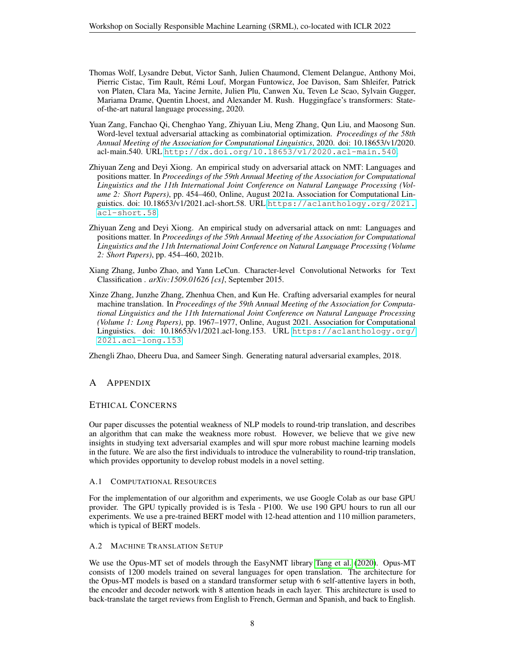- <span id="page-7-2"></span>Thomas Wolf, Lysandre Debut, Victor Sanh, Julien Chaumond, Clement Delangue, Anthony Moi, Pierric Cistac, Tim Rault, Remi Louf, Morgan Funtowicz, Joe Davison, Sam Shleifer, Patrick ´ von Platen, Clara Ma, Yacine Jernite, Julien Plu, Canwen Xu, Teven Le Scao, Sylvain Gugger, Mariama Drame, Quentin Lhoest, and Alexander M. Rush. Huggingface's transformers: Stateof-the-art natural language processing, 2020.
- Yuan Zang, Fanchao Qi, Chenghao Yang, Zhiyuan Liu, Meng Zhang, Qun Liu, and Maosong Sun. Word-level textual adversarial attacking as combinatorial optimization. *Proceedings of the 58th Annual Meeting of the Association for Computational Linguistics*, 2020. doi: 10.18653/v1/2020. acl-main.540. URL <http://dx.doi.org/10.18653/v1/2020.acl-main.540>.
- Zhiyuan Zeng and Deyi Xiong. An empirical study on adversarial attack on NMT: Languages and positions matter. In *Proceedings of the 59th Annual Meeting of the Association for Computational Linguistics and the 11th International Joint Conference on Natural Language Processing (Volume 2: Short Papers)*, pp. 454–460, Online, August 2021a. Association for Computational Linguistics. doi: 10.18653/v1/2021.acl-short.58. URL [https://aclanthology.org/2021.](https://aclanthology.org/2021.acl-short.58) [acl-short.58](https://aclanthology.org/2021.acl-short.58).
- Zhiyuan Zeng and Deyi Xiong. An empirical study on adversarial attack on nmt: Languages and positions matter. In *Proceedings of the 59th Annual Meeting of the Association for Computational Linguistics and the 11th International Joint Conference on Natural Language Processing (Volume 2: Short Papers)*, pp. 454–460, 2021b.
- <span id="page-7-1"></span>Xiang Zhang, Junbo Zhao, and Yann LeCun. Character-level Convolutional Networks for Text Classification . *arXiv:1509.01626 [cs]*, September 2015.
- <span id="page-7-0"></span>Xinze Zhang, Junzhe Zhang, Zhenhua Chen, and Kun He. Crafting adversarial examples for neural machine translation. In *Proceedings of the 59th Annual Meeting of the Association for Computational Linguistics and the 11th International Joint Conference on Natural Language Processing (Volume 1: Long Papers)*, pp. 1967–1977, Online, August 2021. Association for Computational Linguistics. doi: 10.18653/v1/2021.acl-long.153. URL [https://aclanthology.org/](https://aclanthology.org/2021.acl-long.153) [2021.acl-long.153](https://aclanthology.org/2021.acl-long.153).

Zhengli Zhao, Dheeru Dua, and Sameer Singh. Generating natural adversarial examples, 2018.

# A APPENDIX

# ETHICAL CONCERNS

Our paper discusses the potential weakness of NLP models to round-trip translation, and describes an algorithm that can make the weakness more robust. However, we believe that we give new insights in studying text adversarial examples and will spur more robust machine learning models in the future. We are also the first individuals to introduce the vulnerability to round-trip translation, which provides opportunity to develop robust models in a novel setting.

## A.1 COMPUTATIONAL RESOURCES

For the implementation of our algorithm and experiments, we use Google Colab as our base GPU provider. The GPU typically provided is is Tesla - P100. We use 190 GPU hours to run all our experiments. We use a pre-trained BERT model with 12-head attention and 110 million parameters, which is typical of BERT models.

## A.2 MACHINE TRANSLATION SETUP

We use the Opus-MT set of models through the EasyNMT library [Tang et al.](#page-6-7) [\(2020\)](#page-6-7). Opus-MT consists of 1200 models trained on several languages for open translation. The architecture for the Opus-MT models is based on a standard transformer setup with 6 self-attentive layers in both, the encoder and decoder network with 8 attention heads in each layer. This architecture is used to back-translate the target reviews from English to French, German and Spanish, and back to English.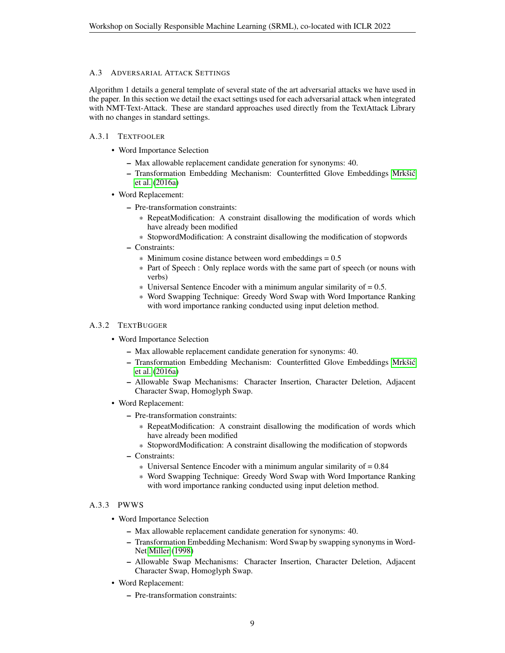## A.3 ADVERSARIAL ATTACK SETTINGS

Algorithm 1 details a general template of several state of the art adversarial attacks we have used in the paper. In this section we detail the exact settings used for each adversarial attack when integrated with NMT-Text-Attack. These are standard approaches used directly from the TextAttack Library with no changes in standard settings.

## A.3.1 TEXTFOOLER

- Word Importance Selection
	- Max allowable replacement candidate generation for synonyms: 40.
	- Transformation Embedding Mechanism: Counterfitted Glove Embeddings Mrkšić [et al.](#page-6-8) [\(2016a\)](#page-6-8)
- Word Replacement:
	- Pre-transformation constraints:
		- \* RepeatModification: A constraint disallowing the modification of words which have already been modified
		- \* StopwordModification: A constraint disallowing the modification of stopwords
	- Constraints:
		- $*$  Minimum cosine distance between word embeddings =  $0.5$
		- \* Part of Speech : Only replace words with the same part of speech (or nouns with verbs)
		- $*$  Universal Sentence Encoder with a minimum angular similarity of  $= 0.5$ .
		- \* Word Swapping Technique: Greedy Word Swap with Word Importance Ranking with word importance ranking conducted using input deletion method.

#### A.3.2 TEXTBUGGER

- Word Importance Selection
	- Max allowable replacement candidate generation for synonyms: 40.
	- Transformation Embedding Mechanism: Counterfitted Glove Embeddings Mrkšić [et al.](#page-6-8) [\(2016a\)](#page-6-8)
	- Allowable Swap Mechanisms: Character Insertion, Character Deletion, Adjacent Character Swap, Homoglyph Swap.
- Word Replacement:
	- Pre-transformation constraints:
		- \* RepeatModification: A constraint disallowing the modification of words which have already been modified
		- \* StopwordModification: A constraint disallowing the modification of stopwords
	- Constraints:
		- \* Universal Sentence Encoder with a minimum angular similarity of = 0.84
		- \* Word Swapping Technique: Greedy Word Swap with Word Importance Ranking with word importance ranking conducted using input deletion method.

#### A.3.3 PWWS

- Word Importance Selection
	- Max allowable replacement candidate generation for synonyms: 40.
	- Transformation Embedding Mechanism: Word Swap by swapping synonyms in Word-Net [Miller](#page-5-7) [\(1998\)](#page-5-7)
	- Allowable Swap Mechanisms: Character Insertion, Character Deletion, Adjacent Character Swap, Homoglyph Swap.
- Word Replacement:
	- Pre-transformation constraints: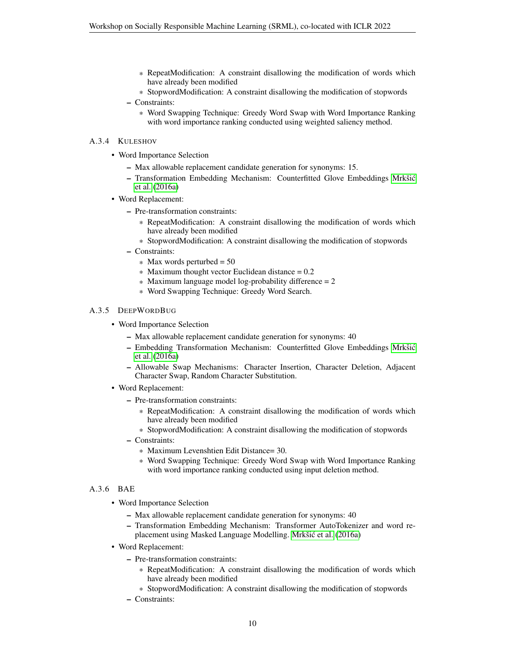- \* RepeatModification: A constraint disallowing the modification of words which have already been modified
- \* StopwordModification: A constraint disallowing the modification of stopwords

\* Word Swapping Technique: Greedy Word Swap with Word Importance Ranking with word importance ranking conducted using weighted saliency method.

#### A.3.4 KULESHOV

- Word Importance Selection
	- Max allowable replacement candidate generation for synonyms: 15.
	- Transformation Embedding Mechanism: Counterfitted Glove Embeddings Mrkšić [et al.](#page-6-8) [\(2016a\)](#page-6-8)
- Word Replacement:
	- Pre-transformation constraints:
		- \* RepeatModification: A constraint disallowing the modification of words which have already been modified
		- \* StopwordModification: A constraint disallowing the modification of stopwords
	- Constraints:
		- $*$  Max words perturbed = 50
		- $*$  Maximum thought vector Euclidean distance = 0.2
		- $*$  Maximum language model log-probability difference = 2
		- \* Word Swapping Technique: Greedy Word Search.

#### A.3.5 DEEPWORDBUG

- Word Importance Selection
	- Max allowable replacement candidate generation for synonyms: 40
	- Embedding Transformation Mechanism: Counterfitted Glove Embeddings Mrkšić [et al.](#page-6-8) [\(2016a\)](#page-6-8)
	- Allowable Swap Mechanisms: Character Insertion, Character Deletion, Adjacent Character Swap, Random Character Substitution.
- Word Replacement:
	- Pre-transformation constraints:
		- \* RepeatModification: A constraint disallowing the modification of words which have already been modified
		- \* StopwordModification: A constraint disallowing the modification of stopwords
	- Constraints:
		- \* Maximum Levenshtien Edit Distance= 30.
		- \* Word Swapping Technique: Greedy Word Swap with Word Importance Ranking with word importance ranking conducted using input deletion method.

#### A.3.6 BAE

- Word Importance Selection
	- Max allowable replacement candidate generation for synonyms: 40
	- Transformation Embedding Mechanism: Transformer AutoTokenizer and word re-placement using Masked Language Modelling. Mrkšić et al. [\(2016a\)](#page-6-8)
- Word Replacement:
	- Pre-transformation constraints:
		- \* RepeatModification: A constraint disallowing the modification of words which have already been modified
		- \* StopwordModification: A constraint disallowing the modification of stopwords
	- Constraints:

<sup>–</sup> Constraints: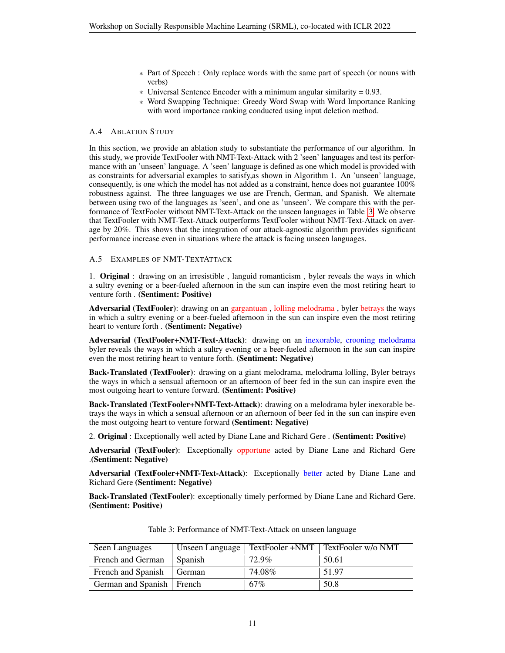- \* Part of Speech : Only replace words with the same part of speech (or nouns with verbs)
- $*$  Universal Sentence Encoder with a minimum angular similarity = 0.93.
- \* Word Swapping Technique: Greedy Word Swap with Word Importance Ranking with word importance ranking conducted using input deletion method.

## A.4 ABLATION STUDY

In this section, we provide an ablation study to substantiate the performance of our algorithm. In this study, we provide TextFooler with NMT-Text-Attack with 2 'seen' languages and test its performance with an 'unseen' language. A 'seen' language is defined as one which model is provided with as constraints for adversarial examples to satisfy,as shown in Algorithm 1. An 'unseen' language, consequently, is one which the model has not added as a constraint, hence does not guarantee 100% robustness against. The three languages we use are French, German, and Spanish. We alternate between using two of the languages as 'seen', and one as 'unseen'. We compare this with the performance of TextFooler without NMT-Text-Attack on the unseen languages in Table [3.](#page-10-0) We observe that TextFooler with NMT-Text-Attack outperforms TextFooler without NMT-Text-Attack on average by 20%. This shows that the integration of our attack-agnostic algorithm provides significant performance increase even in situations where the attack is facing unseen languages.

#### A.5 EXAMPLES OF NMT-TEXTATTACK

1. Original : drawing on an irresistible , languid romanticism , byler reveals the ways in which a sultry evening or a beer-fueled afternoon in the sun can inspire even the most retiring heart to venture forth . (Sentiment: Positive)

Adversarial (TextFooler): drawing on an gargantuan, lolling melodrama, byler betrays the ways in which a sultry evening or a beer-fueled afternoon in the sun can inspire even the most retiring heart to venture forth . (Sentiment: Negative)

Adversarial (TextFooler+NMT-Text-Attack): drawing on an inexorable, crooning melodrama byler reveals the ways in which a sultry evening or a beer-fueled afternoon in the sun can inspire even the most retiring heart to venture forth. (Sentiment: Negative)

Back-Translated (TextFooler): drawing on a giant melodrama, melodrama lolling, Byler betrays the ways in which a sensual afternoon or an afternoon of beer fed in the sun can inspire even the most outgoing heart to venture forward. (Sentiment: Positive)

Back-Translated (TextFooler+NMT-Text-Attack): drawing on a melodrama byler inexorable betrays the ways in which a sensual afternoon or an afternoon of beer fed in the sun can inspire even the most outgoing heart to venture forward (Sentiment: Negative)

2. Original : Exceptionally well acted by Diane Lane and Richard Gere . (Sentiment: Positive)

Adversarial (TextFooler): Exceptionally opportune acted by Diane Lane and Richard Gere .(Sentiment: Negative)

Adversarial (TextFooler+NMT-Text-Attack): Exceptionally better acted by Diane Lane and Richard Gere (Sentiment: Negative)

Back-Translated (TextFooler): exceptionally timely performed by Diane Lane and Richard Gere. (Sentiment: Positive)

<span id="page-10-0"></span>

| Seen Languages              | Unseen Language |        | TextFooler +NMT   TextFooler w/o NMT |
|-----------------------------|-----------------|--------|--------------------------------------|
| French and German           | Spanish         | 72.9%  | 50.61                                |
| French and Spanish          | German          | 74.08% | 51.97                                |
| German and Spanish   French |                 | 67%    | 50.8                                 |

Table 3: Performance of NMT-Text-Attack on unseen language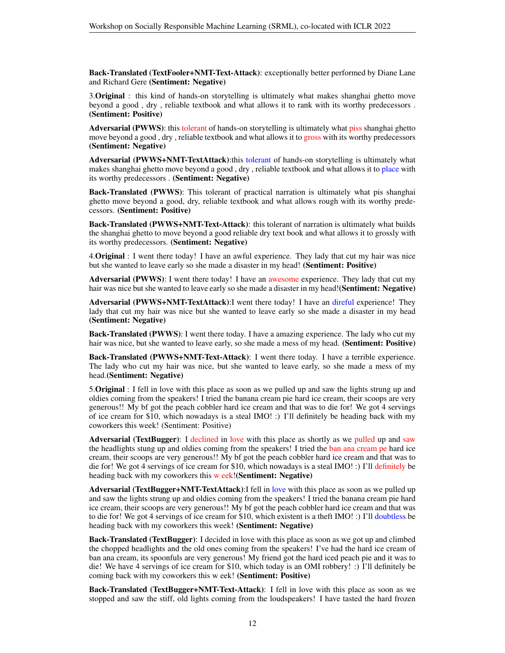Back-Translated (TextFooler+NMT-Text-Attack): exceptionally better performed by Diane Lane and Richard Gere (Sentiment: Negative)

3.Original : this kind of hands-on storytelling is ultimately what makes shanghai ghetto move beyond a good , dry , reliable textbook and what allows it to rank with its worthy predecessors . (Sentiment: Positive)

Adversarial (PWWS): this tolerant of hands-on storytelling is ultimately what piss shanghai ghetto move beyond a good , dry , reliable textbook and what allows it to gross with its worthy predecessors (Sentiment: Negative)

Adversarial (PWWS+NMT-TextAttack):this tolerant of hands-on storytelling is ultimately what makes shanghai ghetto move beyond a good , dry , reliable textbook and what allows it to place with its worthy predecessors . (Sentiment: Negative)

Back-Translated (PWWS): This tolerant of practical narration is ultimately what pis shanghai ghetto move beyond a good, dry, reliable textbook and what allows rough with its worthy predecessors. (Sentiment: Positive)

Back-Translated (PWWS+NMT-Text-Attack): this tolerant of narration is ultimately what builds the shanghai ghetto to move beyond a good reliable dry text book and what allows it to grossly with its worthy predecessors. (Sentiment: Negative)

4.Original : I went there today! I have an awful experience. They lady that cut my hair was nice but she wanted to leave early so she made a disaster in my head! (Sentiment: Positive)

Adversarial (PWWS): I went there today! I have an awesome experience. They lady that cut my hair was nice but she wanted to leave early so she made a disaster in my head!(Sentiment: Negative)

Adversarial (PWWS+NMT-TextAttack):I went there today! I have an direful experience! They lady that cut my hair was nice but she wanted to leave early so she made a disaster in my head (Sentiment: Negative)

Back-Translated (PWWS): I went there today. I have a amazing experience. The lady who cut my hair was nice, but she wanted to leave early, so she made a mess of my head. (**Sentiment: Positive**)

Back-Translated (PWWS+NMT-Text-Attack): I went there today. I have a terrible experience. The lady who cut my hair was nice, but she wanted to leave early, so she made a mess of my head.(Sentiment: Negative)

5.Original : I fell in love with this place as soon as we pulled up and saw the lights strung up and oldies coming from the speakers! I tried the banana cream pie hard ice cream, their scoops are very generous!! My bf got the peach cobbler hard ice cream and that was to die for! We got 4 servings of ice cream for \$10, which nowadays is a steal IMO! :) I'll definitely be heading back with my coworkers this week! (Sentiment: Positive)

Adversarial (TextBugger): I declined in love with this place as shortly as we pulled up and saw the headlights stung up and oldies coming from the speakers! I tried the ban ana cream pe hard ice cream, their scoops are very generous!! My bf got the peach cobbler hard ice cream and that was to die for! We got 4 servings of ice cream for \$10, which nowadays is a steal IMO! :) I'll definitely be heading back with my coworkers this w eek!(Sentiment: Negative)

Adversarial (TextBugger+NMT-TextAttack):I fell in love with this place as soon as we pulled up and saw the lights strung up and oldies coming from the speakers! I tried the banana cream pie hard ice cream, their scoops are very generous!! My bf got the peach cobbler hard ice cream and that was to die for! We got 4 servings of ice cream for \$10, which existent is a theft IMO! :) I'll doubtless be heading back with my coworkers this week! (Sentiment: Negative)

Back-Translated (TextBugger): I decided in love with this place as soon as we got up and climbed the chopped headlights and the old ones coming from the speakers! I've had the hard ice cream of ban ana cream, its spoonfuls are very generous! My friend got the hard iced peach pie and it was to die! We have 4 servings of ice cream for \$10, which today is an OMI robbery! :) I'll definitely be coming back with my coworkers this w eek! (Sentiment: Positive)

Back-Translated (TextBugger+NMT-Text-Attack): I fell in love with this place as soon as we stopped and saw the stiff, old lights coming from the loudspeakers! I have tasted the hard frozen